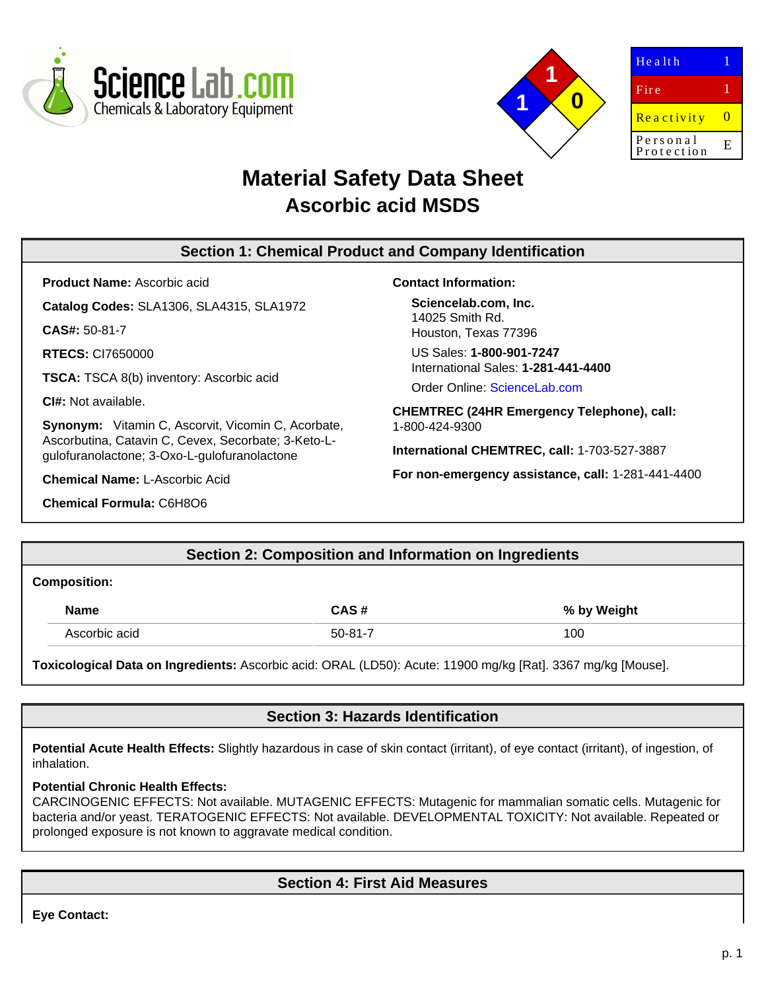



| $He$ a $It$ h          |    |
|------------------------|----|
| Fire                   |    |
| Reactivity             | O  |
| Personal<br>Protection | E. |
|                        |    |

# **Material Safety Data Sheet Ascorbic acid MSDS**

### **Section 1: Chemical Product and Company Identification**

**Product Name:** Ascorbic acid

**Catalog Codes:** SLA1306, SLA4315, SLA1972

**CAS#:** 50-81-7

**RTECS:** CI7650000

**TSCA:** TSCA 8(b) inventory: Ascorbic acid

**CI#:** Not available.

**Synonym:** Vitamin C, Ascorvit, Vicomin C, Acorbate, Ascorbutina, Catavin C, Cevex, Secorbate; 3-Keto-Lgulofuranolactone; 3-Oxo-L-gulofuranolactone

**Chemical Name:** L-Ascorbic Acid

**Chemical Formula:** C6H8O6

**Contact Information:**

**Sciencelab.com, Inc.** 14025 Smith Rd. Houston, Texas 77396

US Sales: **1-800-901-7247** International Sales: **1-281-441-4400**

Order Online: [ScienceLab.com](http://www.sciencelab.com/)

**CHEMTREC (24HR Emergency Telephone), call:** 1-800-424-9300

**International CHEMTREC, call:** 1-703-527-3887

**For non-emergency assistance, call:** 1-281-441-4400

**Section 2: Composition and Information on Ingredients**

### **Composition:**

| <b>Name</b>   | CAS#    | % by Weight |
|---------------|---------|-------------|
| Ascorbic acid | 50-81-7 | 100         |

**Toxicological Data on Ingredients:** Ascorbic acid: ORAL (LD50): Acute: 11900 mg/kg [Rat]. 3367 mg/kg [Mouse].

### **Section 3: Hazards Identification**

Potential Acute Health Effects: Slightly hazardous in case of skin contact (irritant), of eye contact (irritant), of ingestion, of inhalation.

### **Potential Chronic Health Effects:**

CARCINOGENIC EFFECTS: Not available. MUTAGENIC EFFECTS: Mutagenic for mammalian somatic cells. Mutagenic for bacteria and/or yeast. TERATOGENIC EFFECTS: Not available. DEVELOPMENTAL TOXICITY: Not available. Repeated or prolonged exposure is not known to aggravate medical condition.

# **Section 4: First Aid Measures**

**Eye Contact:**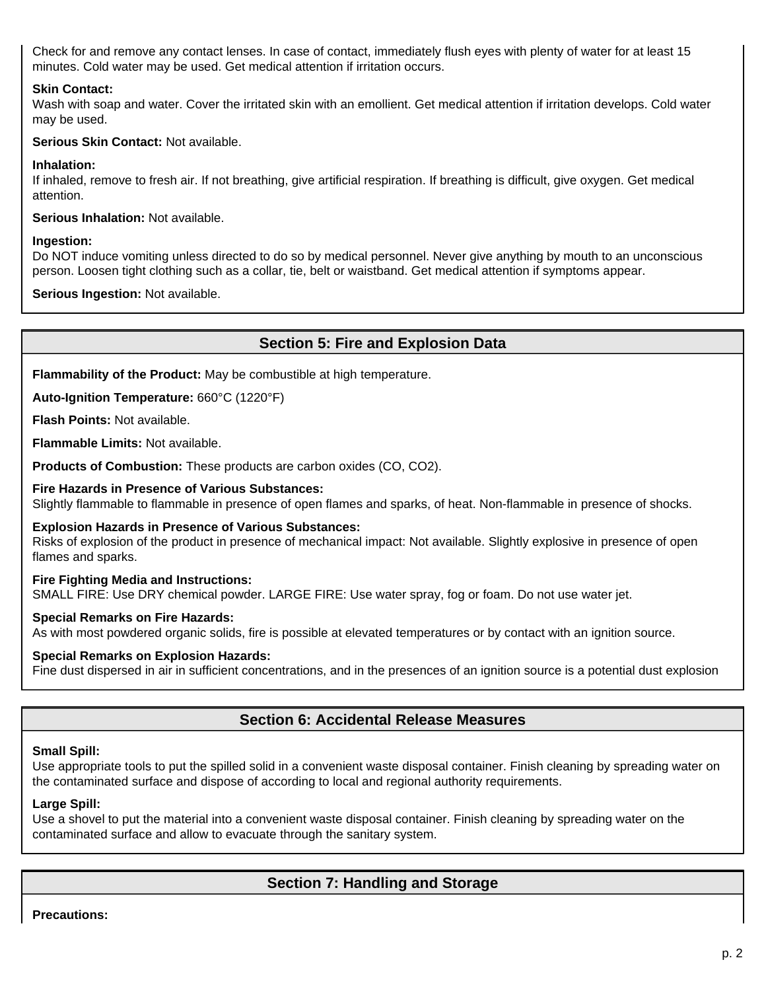Check for and remove any contact lenses. In case of contact, immediately flush eyes with plenty of water for at least 15 minutes. Cold water may be used. Get medical attention if irritation occurs.

### **Skin Contact:**

Wash with soap and water. Cover the irritated skin with an emollient. Get medical attention if irritation develops. Cold water may be used.

### **Serious Skin Contact:** Not available.

#### **Inhalation:**

If inhaled, remove to fresh air. If not breathing, give artificial respiration. If breathing is difficult, give oxygen. Get medical attention.

**Serious Inhalation:** Not available.

#### **Ingestion:**

Do NOT induce vomiting unless directed to do so by medical personnel. Never give anything by mouth to an unconscious person. Loosen tight clothing such as a collar, tie, belt or waistband. Get medical attention if symptoms appear.

**Serious Ingestion:** Not available.

### **Section 5: Fire and Explosion Data**

**Flammability of the Product:** May be combustible at high temperature.

**Auto-Ignition Temperature:** 660°C (1220°F)

**Flash Points:** Not available.

**Flammable Limits:** Not available.

**Products of Combustion:** These products are carbon oxides (CO, CO2).

#### **Fire Hazards in Presence of Various Substances:**

Slightly flammable to flammable in presence of open flames and sparks, of heat. Non-flammable in presence of shocks.

#### **Explosion Hazards in Presence of Various Substances:**

Risks of explosion of the product in presence of mechanical impact: Not available. Slightly explosive in presence of open flames and sparks.

#### **Fire Fighting Media and Instructions:**

SMALL FIRE: Use DRY chemical powder. LARGE FIRE: Use water spray, fog or foam. Do not use water jet.

#### **Special Remarks on Fire Hazards:**

As with most powdered organic solids, fire is possible at elevated temperatures or by contact with an ignition source.

#### **Special Remarks on Explosion Hazards:**

Fine dust dispersed in air in sufficient concentrations, and in the presences of an ignition source is a potential dust explosion

### **Section 6: Accidental Release Measures**

#### **Small Spill:**

Use appropriate tools to put the spilled solid in a convenient waste disposal container. Finish cleaning by spreading water on the contaminated surface and dispose of according to local and regional authority requirements.

#### **Large Spill:**

Use a shovel to put the material into a convenient waste disposal container. Finish cleaning by spreading water on the contaminated surface and allow to evacuate through the sanitary system.

### **Section 7: Handling and Storage**

**Precautions:**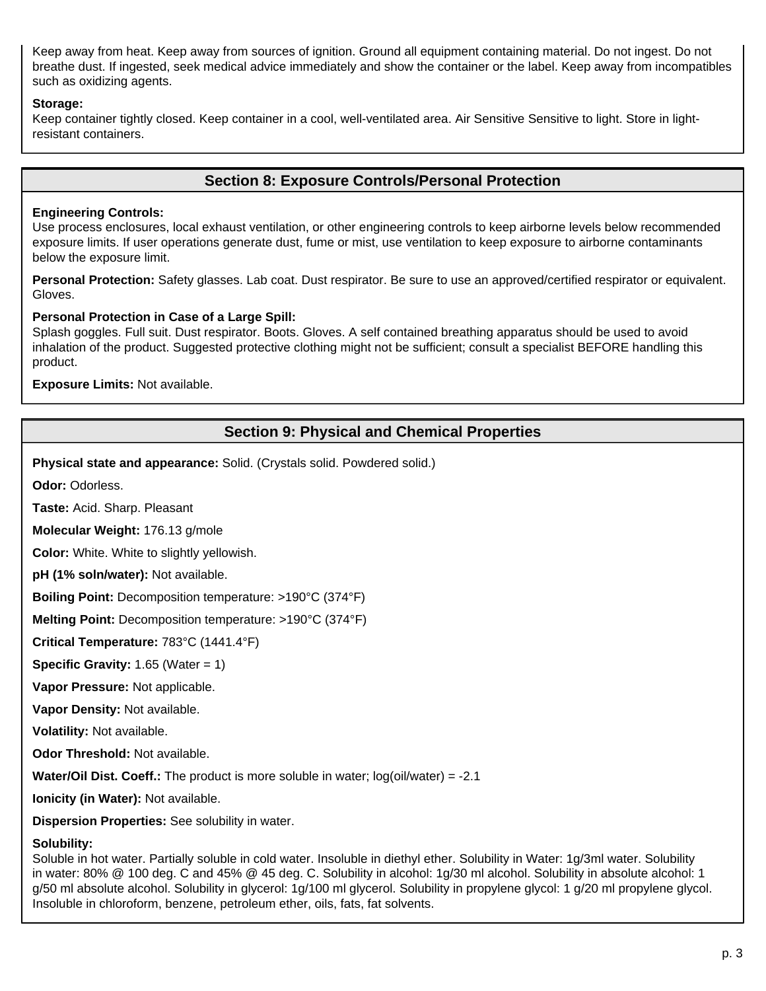Keep away from heat. Keep away from sources of ignition. Ground all equipment containing material. Do not ingest. Do not breathe dust. If ingested, seek medical advice immediately and show the container or the label. Keep away from incompatibles such as oxidizing agents.

#### **Storage:**

Keep container tightly closed. Keep container in a cool, well-ventilated area. Air Sensitive Sensitive to light. Store in lightresistant containers.

### **Section 8: Exposure Controls/Personal Protection**

### **Engineering Controls:**

Use process enclosures, local exhaust ventilation, or other engineering controls to keep airborne levels below recommended exposure limits. If user operations generate dust, fume or mist, use ventilation to keep exposure to airborne contaminants below the exposure limit.

**Personal Protection:** Safety glasses. Lab coat. Dust respirator. Be sure to use an approved/certified respirator or equivalent. Gloves.

### **Personal Protection in Case of a Large Spill:**

Splash goggles. Full suit. Dust respirator. Boots. Gloves. A self contained breathing apparatus should be used to avoid inhalation of the product. Suggested protective clothing might not be sufficient; consult a specialist BEFORE handling this product.

**Exposure Limits:** Not available.

### **Section 9: Physical and Chemical Properties**

**Physical state and appearance:** Solid. (Crystals solid. Powdered solid.)

**Odor:** Odorless.

**Taste:** Acid. Sharp. Pleasant

**Molecular Weight:** 176.13 g/mole

**Color:** White. White to slightly yellowish.

**pH (1% soln/water):** Not available.

**Boiling Point:** Decomposition temperature: >190°C (374°F)

**Melting Point:** Decomposition temperature: >190°C (374°F)

**Critical Temperature:** 783°C (1441.4°F)

**Specific Gravity:** 1.65 (Water = 1)

**Vapor Pressure:** Not applicable.

**Vapor Density:** Not available.

**Volatility:** Not available.

**Odor Threshold:** Not available.

**Water/Oil Dist. Coeff.:** The product is more soluble in water; log(oil/water) = -2.1

**Ionicity (in Water):** Not available.

**Dispersion Properties:** See solubility in water.

#### **Solubility:**

Soluble in hot water. Partially soluble in cold water. Insoluble in diethyl ether. Solubility in Water: 1g/3ml water. Solubility in water: 80% @ 100 deg. C and 45% @ 45 deg. C. Solubility in alcohol: 1g/30 ml alcohol. Solubility in absolute alcohol: 1 g/50 ml absolute alcohol. Solubility in glycerol: 1g/100 ml glycerol. Solubility in propylene glycol: 1 g/20 ml propylene glycol. Insoluble in chloroform, benzene, petroleum ether, oils, fats, fat solvents.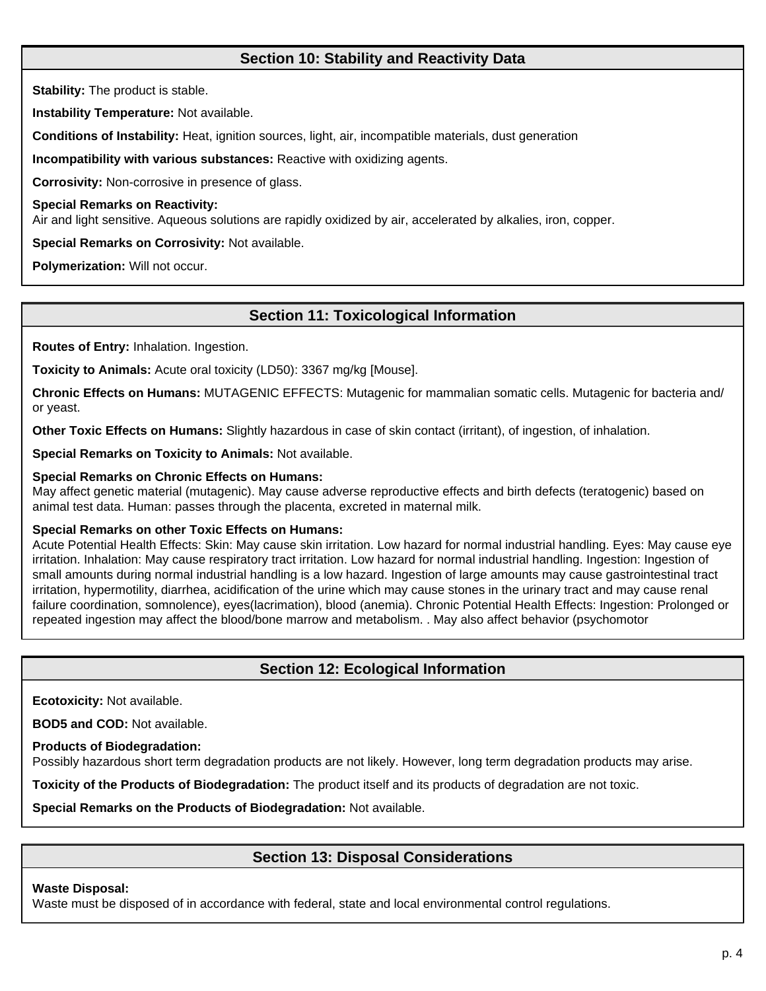### **Section 10: Stability and Reactivity Data**

**Stability:** The product is stable.

**Instability Temperature:** Not available.

**Conditions of Instability:** Heat, ignition sources, light, air, incompatible materials, dust generation

**Incompatibility with various substances:** Reactive with oxidizing agents.

**Corrosivity:** Non-corrosive in presence of glass.

**Special Remarks on Reactivity:**

Air and light sensitive. Aqueous solutions are rapidly oxidized by air, accelerated by alkalies, iron, copper.

**Special Remarks on Corrosivity:** Not available.

**Polymerization:** Will not occur.

# **Section 11: Toxicological Information**

**Routes of Entry:** Inhalation. Ingestion.

**Toxicity to Animals:** Acute oral toxicity (LD50): 3367 mg/kg [Mouse].

**Chronic Effects on Humans:** MUTAGENIC EFFECTS: Mutagenic for mammalian somatic cells. Mutagenic for bacteria and/ or yeast.

**Other Toxic Effects on Humans:** Slightly hazardous in case of skin contact (irritant), of ingestion, of inhalation.

**Special Remarks on Toxicity to Animals:** Not available.

### **Special Remarks on Chronic Effects on Humans:**

May affect genetic material (mutagenic). May cause adverse reproductive effects and birth defects (teratogenic) based on animal test data. Human: passes through the placenta, excreted in maternal milk.

### **Special Remarks on other Toxic Effects on Humans:**

Acute Potential Health Effects: Skin: May cause skin irritation. Low hazard for normal industrial handling. Eyes: May cause eye irritation. Inhalation: May cause respiratory tract irritation. Low hazard for normal industrial handling. Ingestion: Ingestion of small amounts during normal industrial handling is a low hazard. Ingestion of large amounts may cause gastrointestinal tract irritation, hypermotility, diarrhea, acidification of the urine which may cause stones in the urinary tract and may cause renal failure coordination, somnolence), eyes(lacrimation), blood (anemia). Chronic Potential Health Effects: Ingestion: Prolonged or repeated ingestion may affect the blood/bone marrow and metabolism. . May also affect behavior (psychomotor

# **Section 12: Ecological Information**

**Ecotoxicity:** Not available.

**BOD5 and COD:** Not available.

**Products of Biodegradation:**

Possibly hazardous short term degradation products are not likely. However, long term degradation products may arise.

**Toxicity of the Products of Biodegradation:** The product itself and its products of degradation are not toxic.

**Special Remarks on the Products of Biodegradation:** Not available.

# **Section 13: Disposal Considerations**

### **Waste Disposal:**

Waste must be disposed of in accordance with federal, state and local environmental control regulations.